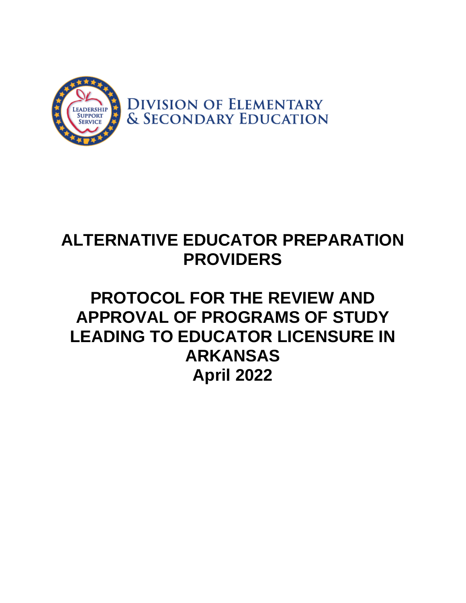

# **ALTERNATIVE EDUCATOR PREPARATION PROVIDERS**

## **PROTOCOL FOR THE REVIEW AND APPROVAL OF PROGRAMS OF STUDY LEADING TO EDUCATOR LICENSURE IN ARKANSAS April 2022**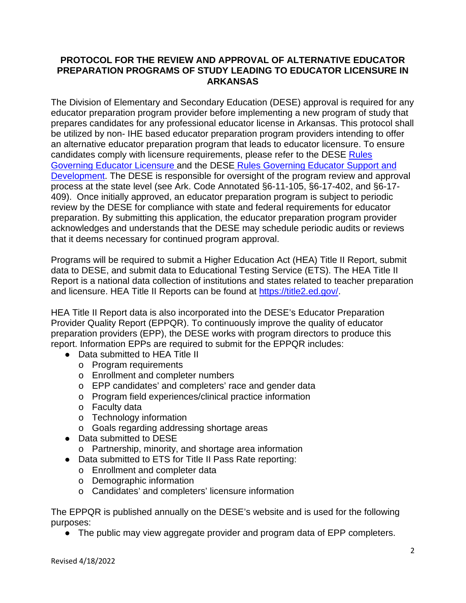#### **PROTOCOL FOR THE REVIEW AND APPROVAL OF ALTERNATIVE EDUCATOR PREPARATION PROGRAMS OF STUDY LEADING TO EDUCATOR LICENSURE IN ARKANSAS**

The Division of Elementary and Secondary Education (DESE) approval is required for any educator preparation program provider before implementing a new program of study that prepares candidates for any professional educator license in Arkansas. This protocol shall be utilized by non- IHE based educator preparation program providers intending to offer an alternative educator preparation program that leads to educator licensure. To ensure candidates comply with licensure requirements, please refer to the DESE Rules Governing [Educator Licensure a](https://dese.ade.arkansas.gov/Files/20201102105823_ADE_317_Educator_Licensure_Final.pdf)nd the DESE [Rules Governing Educator Support and](https://dese.ade.arkansas.gov/Files/20201102105845_Educator_Support_Rules_FINAL.pdf)  [Development.](https://dese.ade.arkansas.gov/Files/20201102105845_Educator_Support_Rules_FINAL.pdf) The DESE is responsible for oversight of the program review and approval process at the state level (see Ark. Code Annotated §6-11-105, §6-17-402, and §6-17- 409). Once initially approved, an educator preparation program is subject to periodic review by the DESE for compliance with state and federal requirements for educator preparation. By submitting this application, the educator preparation program provider acknowledges and understands that the DESE may schedule periodic audits or reviews that it deems necessary for continued program approval.

Programs will be required to submit a Higher Education Act (HEA) Title II Report, submit data to DESE, and submit data to Educational Testing Service (ETS). The HEA Title II Report is a national data collection of institutions and states related to teacher preparation and licensure. HEA Title II Reports can be found at [https://title2.ed.gov/.](https://title2.ed.gov/)

HEA Title II Report data is also incorporated into the DESE's Educator Preparation Provider Quality Report (EPPQR). To continuously improve the quality of educator preparation providers (EPP), the DESE works with program directors to produce this report. Information EPPs are required to submit for the EPPQR includes:

- Data submitted to HEA Title Ⅱ
	- o Program requirements
	- o Enrollment and completer numbers
	- o EPP candidates' and completers' race and gender data
	- o Program field experiences/clinical practice information
	- o Faculty data
	- o Technology information
	- o Goals regarding addressing shortage areas
- Data submitted to DESE
	- o Partnership, minority, and shortage area information
- Data submitted to ETS for Title II Pass Rate reporting:
	- o Enrollment and completer data
	- o Demographic information
	- o Candidates' and completers' licensure information

The EPPQR is published annually on the DESE's website and is used for the following purposes:

• The public may view aggregate provider and program data of EPP completers.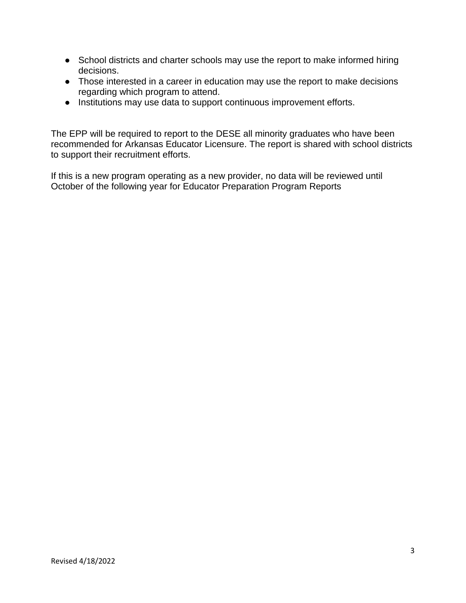- School districts and charter schools may use the report to make informed hiring decisions.
- Those interested in a career in education may use the report to make decisions regarding which program to attend.
- Institutions may use data to support continuous improvement efforts.

The EPP will be required to report to the DESE all minority graduates who have been recommended for Arkansas Educator Licensure. The report is shared with school districts to support their recruitment efforts.

If this is a new program operating as a new provider, no data will be reviewed until October of the following year for Educator Preparation Program Reports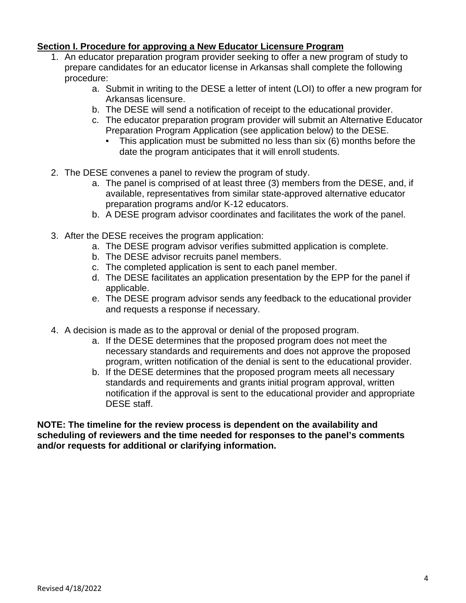#### **Section I. Procedure for approving a New Educator Licensure Program**

- 1. An educator preparation program provider seeking to offer a new program of study to prepare candidates for an educator license in Arkansas shall complete the following procedure:
	- a. Submit in writing to the DESE a letter of intent (LOI) to offer a new program for Arkansas licensure.
	- b. The DESE will send a notification of receipt to the educational provider.
	- c. The educator preparation program provider will submit an Alternative Educator Preparation Program Application (see application below) to the DESE.
		- This application must be submitted no less than six (6) months before the date the program anticipates that it will enroll students.
- 2. The DESE convenes a panel to review the program of study.
	- a. The panel is comprised of at least three (3) members from the DESE, and, if available, representatives from similar state-approved alternative educator preparation programs and/or K-12 educators.
	- b. A DESE program advisor coordinates and facilitates the work of the panel.
- 3. After the DESE receives the program application:
	- a. The DESE program advisor verifies submitted application is complete.
	- b. The DESE advisor recruits panel members.
	- c. The completed application is sent to each panel member.
	- d. The DESE facilitates an application presentation by the EPP for the panel if applicable.
	- e. The DESE program advisor sends any feedback to the educational provider and requests a response if necessary.
- 4. A decision is made as to the approval or denial of the proposed program.
	- a. If the DESE determines that the proposed program does not meet the necessary standards and requirements and does not approve the proposed program, written notification of the denial is sent to the educational provider.
	- b. If the DESE determines that the proposed program meets all necessary standards and requirements and grants initial program approval, written notification if the approval is sent to the educational provider and appropriate DESE staff.

**NOTE: The timeline for the review process is dependent on the availability and scheduling of reviewers and the time needed for responses to the panel's comments and/or requests for additional or clarifying information.**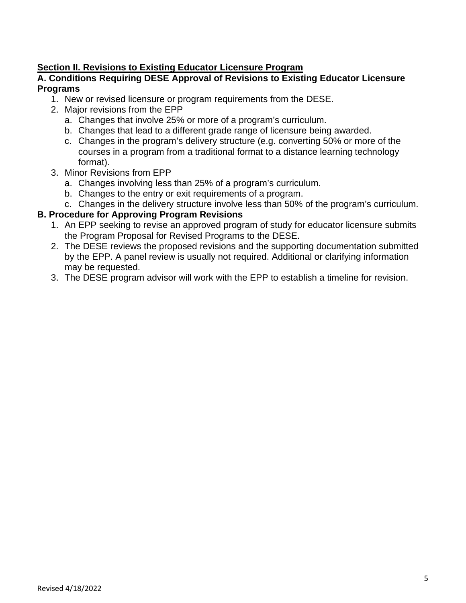#### **Section II. Revisions to Existing Educator Licensure Program**

#### **A. Conditions Requiring DESE Approval of Revisions to Existing Educator Licensure Programs**

- 1. New or revised licensure or program requirements from the DESE.
- 2. Major revisions from the EPP
	- a. Changes that involve 25% or more of a program's curriculum.
	- b. Changes that lead to a different grade range of licensure being awarded.
	- c. Changes in the program's delivery structure (e.g. converting 50% or more of the courses in a program from a traditional format to a distance learning technology format).
- 3. Minor Revisions from EPP
	- a. Changes involving less than 25% of a program's curriculum.
	- b. Changes to the entry or exit requirements of a program.
	- c. Changes in the delivery structure involve less than 50% of the program's curriculum.

#### **B. Procedure for Approving Program Revisions**

- 1. An EPP seeking to revise an approved program of study for educator licensure submits the Program Proposal for Revised Programs to the DESE.
- 2. The DESE reviews the proposed revisions and the supporting documentation submitted by the EPP. A panel review is usually not required. Additional or clarifying information may be requested.
- 3. The DESE program advisor will work with the EPP to establish a timeline for revision.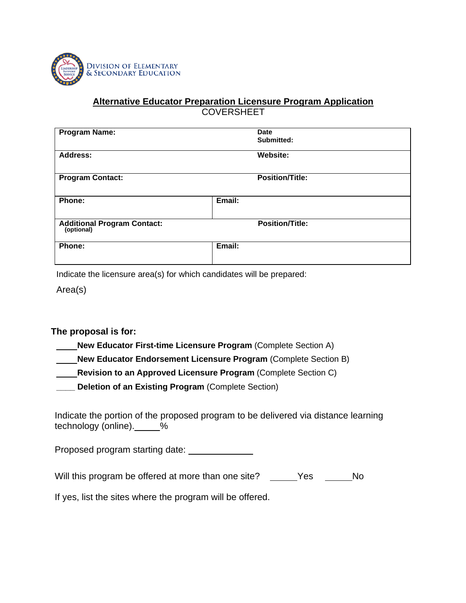

#### **Alternative Educator Preparation Licensure Program Application COVERSHEET**

| <b>Program Name:</b>                             | <b>Date</b><br>Submitted: |
|--------------------------------------------------|---------------------------|
| Address:                                         | Website:                  |
| <b>Program Contact:</b>                          | <b>Position/Title:</b>    |
| Phone:                                           | Email:                    |
| <b>Additional Program Contact:</b><br>(optional) | <b>Position/Title:</b>    |
| Phone:                                           | Email:                    |

Indicate the licensure area(s) for which candidates will be prepared:

Area(s)

**The proposal is for:**

**New Educator First-time Licensure Program** (Complete Section A)

**New Educator Endorsement Licensure Program (Complete Section B)** 

**Revision to an Approved Licensure Program** (Complete Section C)

**\_\_\_\_ Deletion of an Existing Program** (Complete Section)

Indicate the portion of the proposed program to be delivered via distance learning technology (online).\_\_\_\_\_%

Proposed program starting date:

Will this program be offered at more than one site? Yes No

If yes, list the sites where the program will be offered.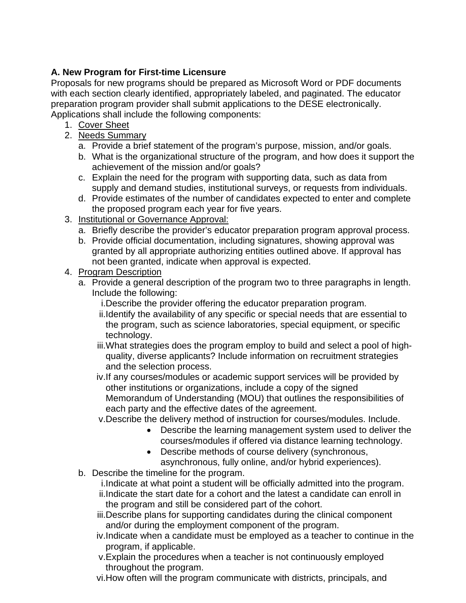## **A. New Program for First-time Licensure**

Proposals for new programs should be prepared as Microsoft Word or PDF documents with each section clearly identified, appropriately labeled, and paginated. The educator preparation program provider shall submit applications to the DESE electronically. Applications shall include the following components:

- 1. Cover Sheet
- 2. Needs Summary
	- a. Provide a brief statement of the program's purpose, mission, and/or goals.
	- b. What is the organizational structure of the program, and how does it support the achievement of the mission and/or goals?
	- c. Explain the need for the program with supporting data, such as data from supply and demand studies, institutional surveys, or requests from individuals.
	- d. Provide estimates of the number of candidates expected to enter and complete the proposed program each year for five years.
- 3. Institutional or Governance Approval:
	- a. Briefly describe the provider's educator preparation program approval process.
	- b. Provide official documentation, including signatures, showing approval was granted by all appropriate authorizing entities outlined above. If approval has not been granted, indicate when approval is expected.
- 4. Program Description
	- a. Provide a general description of the program two to three paragraphs in length. Include the following:
		- i.Describe the provider offering the educator preparation program.
		- ii.Identify the availability of any specific or special needs that are essential to the program, such as science laboratories, special equipment, or specific technology.
		- iii.What strategies does the program employ to build and select a pool of highquality, diverse applicants? Include information on recruitment strategies and the selection process.
		- iv.If any courses/modules or academic support services will be provided by other institutions or organizations, include a copy of the signed Memorandum of Understanding (MOU) that outlines the responsibilities of each party and the effective dates of the agreement.
		- v.Describe the delivery method of instruction for courses/modules. Include.
			- Describe the learning management system used to deliver the courses/modules if offered via distance learning technology.
			- Describe methods of course delivery (synchronous, asynchronous, fully online, and/or hybrid experiences).
	- b. Describe the timeline for the program.
		- i.Indicate at what point a student will be officially admitted into the program.
		- ii.Indicate the start date for a cohort and the latest a candidate can enroll in the program and still be considered part of the cohort.
		- iii.Describe plans for supporting candidates during the clinical component and/or during the employment component of the program.
		- iv.Indicate when a candidate must be employed as a teacher to continue in the program, if applicable.
		- v.Explain the procedures when a teacher is not continuously employed throughout the program.
		- vi.How often will the program communicate with districts, principals, and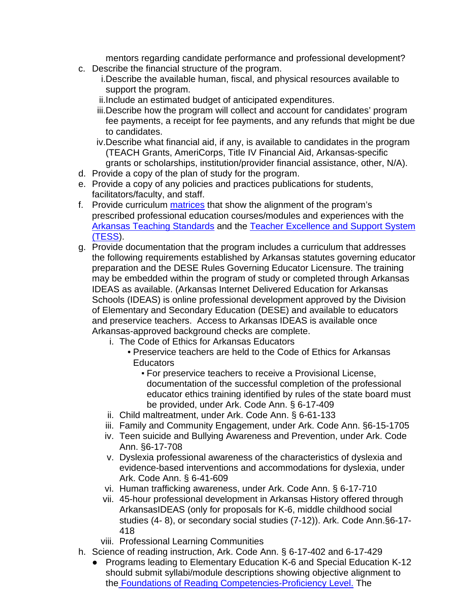mentors regarding candidate performance and professional development?

- c. Describe the financial structure of the program.
	- i.Describe the available human, fiscal, and physical resources available to support the program.
	- ii.Include an estimated budget of anticipated expenditures.
	- iii.Describe how the program will collect and account for candidates' program fee payments, a receipt for fee payments, and any refunds that might be due to candidates.
	- iv.Describe what financial aid, if any, is available to candidates in the program (TEACH Grants, AmeriCorps, Title IV Financial Aid, Arkansas-specific grants or scholarships, institution/provider financial assistance, other, N/A).
- d. Provide a copy of the plan of study for the program.
- e. Provide a copy of any policies and practices publications for students, facilitators/faculty, and staff.
- f. Provide curriculum [matrices](https://dese.ade.arkansas.gov/Offices/educator-effectiveness/educator-preparation-programs-in-arkansas/matrix-templates-for-course-alignment) that show the alignment of the program's prescribed professional education courses/modules and experiences with the [Arkansas Teaching Standards](https://dese.ade.arkansas.gov/Files/20201105140006_Arkansas_Teaching_Standards_2012.pdf) and the [Teacher Excellence and Support System](https://dese.ade.arkansas.gov/Files/20201105140022_FINAL_TESS_Competencies_12-2017.pdf)  [\(TESS\)](https://dese.ade.arkansas.gov/Files/20201105140022_FINAL_TESS_Competencies_12-2017.pdf).
- g. Provide documentation that the program includes a curriculum that addresses the following requirements established by Arkansas statutes governing educator preparation and the DESE Rules Governing Educator Licensure. The training may be embedded within the program of study or completed through Arkansas IDEAS as available. (Arkansas Internet Delivered Education for Arkansas Schools (IDEAS) is online professional development approved by the Division of Elementary and Secondary Education (DESE) and available to educators and preservice teachers. Access to Arkansas IDEAS is available once Arkansas-approved background checks are complete.
	- i. The Code of Ethics for Arkansas Educators
		- Preservice teachers are held to the Code of Ethics for Arkansas **Educators** 
			- For preservice teachers to receive a Provisional License, documentation of the successful completion of the professional educator ethics training identified by rules of the state board must be provided, under Ark. Code Ann. § 6-17-409
	- ii. Child maltreatment, under Ark. Code Ann. § 6-61-133
	- iii. Family and Community Engagement, under Ark. Code Ann. §6-15-1705
	- iv. Teen suicide and Bullying Awareness and Prevention, under Ark. Code Ann. §6-17-708
	- v. Dyslexia professional awareness of the characteristics of dyslexia and evidence-based interventions and accommodations for dyslexia, under Ark. Code Ann. § 6-41-609
	- vi. Human trafficking awareness, under Ark. Code Ann. § 6-17-710
	- vii. 45-hour professional development in Arkansas History offered through ArkansasIDEAS (only for proposals for K-6, middle childhood social studies (4- 8), or secondary social studies (7-12)). Ark. Code Ann.§6-17- 418
	- viii. Professional Learning Communities
- h. Science of reading instruction, Ark. Code Ann. § 6-17-402 and 6-17-429
	- Programs leading to Elementary Education K-6 and Special Education K-12 should submit syllabi/module descriptions showing objective alignment to the [Foundations of Reading Competencies-Proficiency Level.](https://dese.ade.arkansas.gov/Files/20201105155815_Proficiency_Level_SoR_for_Alt_Routes_06_15_18.pdf) The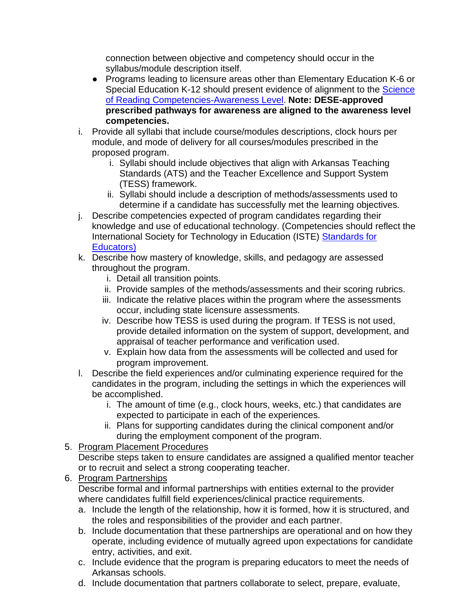connection between objective and competency should occur in the syllabus/module description itself.

- Programs leading to licensure areas other than Elementary Education K-6 or Special Education K-12 should present evidence of alignment to the [Science](https://dese.ade.arkansas.gov/Files/20201105152410_Awareness_Level_SoR_002_07_25_18.pdf) [of Reading Competencies-Awareness Level.](https://dese.ade.arkansas.gov/Files/20201105152410_Awareness_Level_SoR_002_07_25_18.pdf) **Note: DESE-approved prescribed pathways for awareness are aligned to the awareness level competencies.**
- i. Provide all syllabi that include course/modules descriptions, clock hours per module, and mode of delivery for all courses/modules prescribed in the proposed program.
	- i. Syllabi should include objectives that align with Arkansas Teaching Standards (ATS) and the Teacher Excellence and Support System (TESS) framework.
	- ii. Syllabi should include a description of methods/assessments used to determine if a candidate has successfully met the learning objectives.
- j. Describe competencies expected of program candidates regarding their knowledge and use of educational technology. (Competencies should reflect the International Society for Technology in Education (ISTE) [Standards for](https://www.iste.org/standards/iste-standards-for-teachers)  [Educators\)](https://www.iste.org/standards/iste-standards-for-teachers)
- k. Describe how mastery of knowledge, skills, and pedagogy are assessed throughout the program.
	- i. Detail all transition points.
	- ii. Provide samples of the methods/assessments and their scoring rubrics.
	- iii. Indicate the relative places within the program where the assessments occur, including state licensure assessments.
	- iv. Describe how TESS is used during the program. If TESS is not used, provide detailed information on the system of support, development, and appraisal of teacher performance and verification used.
	- v. Explain how data from the assessments will be collected and used for program improvement.
- l. Describe the field experiences and/or culminating experience required for the candidates in the program, including the settings in which the experiences will be accomplished.
	- i. The amount of time (e.g., clock hours, weeks, etc.) that candidates are expected to participate in each of the experiences.
	- ii. Plans for supporting candidates during the clinical component and/or during the employment component of the program.
- 5. Program Placement Procedures

Describe steps taken to ensure candidates are assigned a qualified mentor teacher or to recruit and select a strong cooperating teacher.

6. Program Partnerships

Describe formal and informal partnerships with entities external to the provider where candidates fulfill field experiences/clinical practice requirements.

- a. Include the length of the relationship, how it is formed, how it is structured, and the roles and responsibilities of the provider and each partner.
- b. Include documentation that these partnerships are operational and on how they operate, including evidence of mutually agreed upon expectations for candidate entry, activities, and exit.
- c. Include evidence that the program is preparing educators to meet the needs of Arkansas schools.
- d. Include documentation that partners collaborate to select, prepare, evaluate,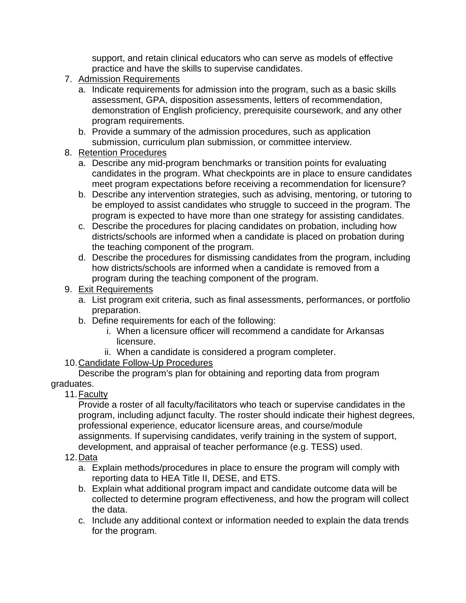support, and retain clinical educators who can serve as models of effective practice and have the skills to supervise candidates.

- 7. Admission Requirements
	- a. Indicate requirements for admission into the program, such as a basic skills assessment, GPA, disposition assessments, letters of recommendation, demonstration of English proficiency, prerequisite coursework, and any other program requirements.
	- b. Provide a summary of the admission procedures, such as application submission, curriculum plan submission, or committee interview.
- 8. Retention Procedures
	- a. Describe any mid-program benchmarks or transition points for evaluating candidates in the program. What checkpoints are in place to ensure candidates meet program expectations before receiving a recommendation for licensure?
	- b. Describe any intervention strategies, such as advising, mentoring, or tutoring to be employed to assist candidates who struggle to succeed in the program. The program is expected to have more than one strategy for assisting candidates.
	- c. Describe the procedures for placing candidates on probation, including how districts/schools are informed when a candidate is placed on probation during the teaching component of the program.
	- d. Describe the procedures for dismissing candidates from the program, including how districts/schools are informed when a candidate is removed from a program during the teaching component of the program.
- 9. Exit Requirements
	- a. List program exit criteria, such as final assessments, performances, or portfolio preparation.
	- b. Define requirements for each of the following:
		- i. When a licensure officer will recommend a candidate for Arkansas licensure.
		- ii. When a candidate is considered a program completer.
- 10.Candidate Follow-Up Procedures

Describe the program's plan for obtaining and reporting data from program graduates.

11.Faculty

Provide a roster of all faculty/facilitators who teach or supervise candidates in the program, including adjunct faculty. The roster should indicate their highest degrees, professional experience, educator licensure areas, and course/module assignments. If supervising candidates, verify training in the system of support, development, and appraisal of teacher performance (e.g. TESS) used.

- 12.Data
	- a. Explain methods/procedures in place to ensure the program will comply with reporting data to HEA Title II, DESE, and ETS.
	- b. Explain what additional program impact and candidate outcome data will be collected to determine program effectiveness, and how the program will collect the data.
	- c. Include any additional context or information needed to explain the data trends for the program.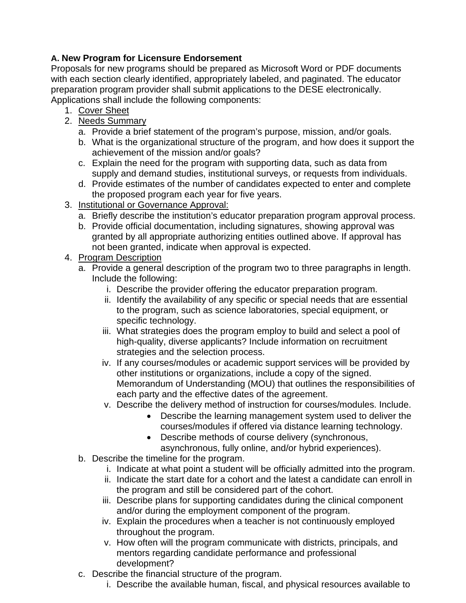## **A. New Program for Licensure Endorsement**

Proposals for new programs should be prepared as Microsoft Word or PDF documents with each section clearly identified, appropriately labeled, and paginated. The educator preparation program provider shall submit applications to the DESE electronically. Applications shall include the following components:

- 1. Cover Sheet
- 2. Needs Summary
	- a. Provide a brief statement of the program's purpose, mission, and/or goals.
	- b. What is the organizational structure of the program, and how does it support the achievement of the mission and/or goals?
	- c. Explain the need for the program with supporting data, such as data from supply and demand studies, institutional surveys, or requests from individuals.
	- d. Provide estimates of the number of candidates expected to enter and complete the proposed program each year for five years.
- 3. Institutional or Governance Approval:
	- a. Briefly describe the institution's educator preparation program approval process.
	- b. Provide official documentation, including signatures, showing approval was granted by all appropriate authorizing entities outlined above. If approval has not been granted, indicate when approval is expected.
- 4. Program Description
	- a. Provide a general description of the program two to three paragraphs in length. Include the following:
		- i. Describe the provider offering the educator preparation program.
		- ii. Identify the availability of any specific or special needs that are essential to the program, such as science laboratories, special equipment, or specific technology.
		- iii. What strategies does the program employ to build and select a pool of high-quality, diverse applicants? Include information on recruitment strategies and the selection process.
		- iv. If any courses/modules or academic support services will be provided by other institutions or organizations, include a copy of the signed. Memorandum of Understanding (MOU) that outlines the responsibilities of each party and the effective dates of the agreement.
		- v. Describe the delivery method of instruction for courses/modules. Include.
			- Describe the learning management system used to deliver the courses/modules if offered via distance learning technology.
			- Describe methods of course delivery (synchronous, asynchronous, fully online, and/or hybrid experiences).
	- b. Describe the timeline for the program.
		- i. Indicate at what point a student will be officially admitted into the program.
		- ii. Indicate the start date for a cohort and the latest a candidate can enroll in the program and still be considered part of the cohort.
		- iii. Describe plans for supporting candidates during the clinical component and/or during the employment component of the program.
		- iv. Explain the procedures when a teacher is not continuously employed throughout the program.
		- v. How often will the program communicate with districts, principals, and mentors regarding candidate performance and professional development?
	- c. Describe the financial structure of the program.
		- i. Describe the available human, fiscal, and physical resources available to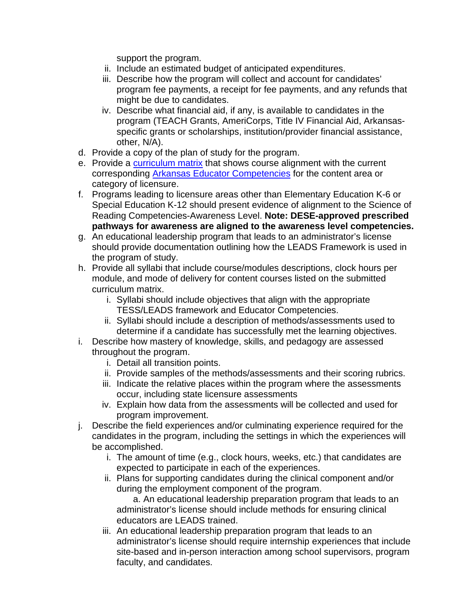support the program.

- ii. Include an estimated budget of anticipated expenditures.
- iii. Describe how the program will collect and account for candidates' program fee payments, a receipt for fee payments, and any refunds that might be due to candidates.
- iv. Describe what financial aid, if any, is available to candidates in the program (TEACH Grants, AmeriCorps, Title IV Financial Aid, Arkansasspecific grants or scholarships, institution/provider financial assistance, other, N/A).
- d. Provide a copy of the plan of study for the program.
- e. Provide a [curriculum matrix](https://dese.ade.arkansas.gov/Offices/educator-effectiveness/educator-preparation-programs-in-arkansas/matrix-templates-for-course-alignment) that shows course alignment with the current corresponding [Arkansas Educator Competencies](https://dese.ade.arkansas.gov/Offices/educator-effectiveness/educator-preparation-programs-in-arkansas/arkansas-educator-competencies) for the content area or category of licensure.
- f. Programs leading to licensure areas other than Elementary Education K-6 or Special Education K-12 should present evidence of alignment to the Science of Reading Competencies-Awareness Level. **Note: DESE-approved prescribed pathways for awareness are aligned to the awareness level competencies.**
- g. An educational leadership program that leads to an administrator's license should provide documentation outlining how the LEADS Framework is used in the program of study.
- h. Provide all syllabi that include course/modules descriptions, clock hours per module, and mode of delivery for content courses listed on the submitted curriculum matrix.
	- i. Syllabi should include objectives that align with the appropriate TESS/LEADS framework and Educator Competencies.
	- ii. Syllabi should include a description of methods/assessments used to determine if a candidate has successfully met the learning objectives.
- i. Describe how mastery of knowledge, skills, and pedagogy are assessed throughout the program.
	- i. Detail all transition points.
	- ii. Provide samples of the methods/assessments and their scoring rubrics.
	- iii. Indicate the relative places within the program where the assessments occur, including state licensure assessments
	- iv. Explain how data from the assessments will be collected and used for program improvement.
- j. Describe the field experiences and/or culminating experience required for the candidates in the program, including the settings in which the experiences will be accomplished.
	- i. The amount of time (e.g., clock hours, weeks, etc.) that candidates are expected to participate in each of the experiences.
	- ii. Plans for supporting candidates during the clinical component and/or during the employment component of the program.

a. An educational leadership preparation program that leads to an administrator's license should include methods for ensuring clinical educators are LEADS trained.

iii. An educational leadership preparation program that leads to an administrator's license should require internship experiences that include site-based and in-person interaction among school supervisors, program faculty, and candidates.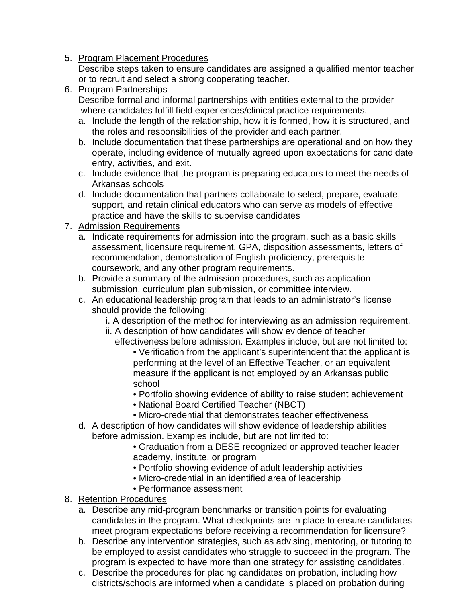5. Program Placement Procedures

Describe steps taken to ensure candidates are assigned a qualified mentor teacher or to recruit and select a strong cooperating teacher.

- 6. Program Partnerships Describe formal and informal partnerships with entities external to the provider where candidates fulfill field experiences/clinical practice requirements.
	- a. Include the length of the relationship, how it is formed, how it is structured, and the roles and responsibilities of the provider and each partner.
	- b. Include documentation that these partnerships are operational and on how they operate, including evidence of mutually agreed upon expectations for candidate entry, activities, and exit.
	- c. Include evidence that the program is preparing educators to meet the needs of Arkansas schools
	- d. Include documentation that partners collaborate to select, prepare, evaluate, support, and retain clinical educators who can serve as models of effective practice and have the skills to supervise candidates
- 7. Admission Requirements
	- a. Indicate requirements for admission into the program, such as a basic skills assessment, licensure requirement, GPA, disposition assessments, letters of recommendation, demonstration of English proficiency, prerequisite coursework, and any other program requirements.
	- b. Provide a summary of the admission procedures, such as application submission, curriculum plan submission, or committee interview.
	- c. An educational leadership program that leads to an administrator's license should provide the following:
		- i. A description of the method for interviewing as an admission requirement.
		- ii. A description of how candidates will show evidence of teacher
			- effectiveness before admission. Examples include, but are not limited to: • Verification from the applicant's superintendent that the applicant is
				- performing at the level of an Effective Teacher, or an equivalent measure if the applicant is not employed by an Arkansas public school
				- Portfolio showing evidence of ability to raise student achievement
				- National Board Certified Teacher (NBCT)
				- Micro-credential that demonstrates teacher effectiveness
	- d. A description of how candidates will show evidence of leadership abilities before admission. Examples include, but are not limited to:
		- Graduation from a DESE recognized or approved teacher leader academy, institute, or program
		- Portfolio showing evidence of adult leadership activities
		- Micro-credential in an identified area of leadership
		- Performance assessment
- 8. Retention Procedures
	- a. Describe any mid-program benchmarks or transition points for evaluating candidates in the program. What checkpoints are in place to ensure candidates meet program expectations before receiving a recommendation for licensure?
	- b. Describe any intervention strategies, such as advising, mentoring, or tutoring to be employed to assist candidates who struggle to succeed in the program. The program is expected to have more than one strategy for assisting candidates.
	- c. Describe the procedures for placing candidates on probation, including how districts/schools are informed when a candidate is placed on probation during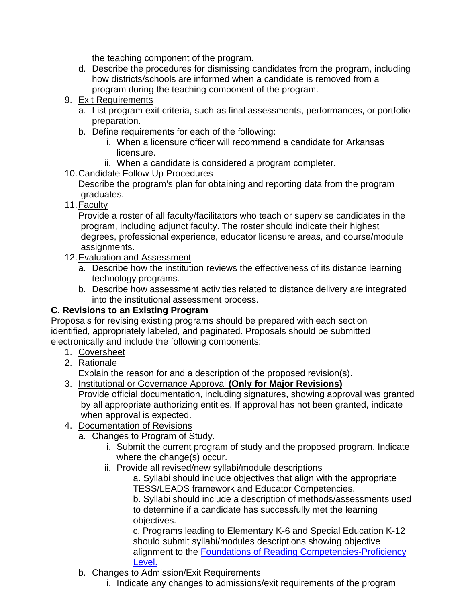the teaching component of the program.

- d. Describe the procedures for dismissing candidates from the program, including how districts/schools are informed when a candidate is removed from a program during the teaching component of the program.
- 9. Exit Requirements
	- a. List program exit criteria, such as final assessments, performances, or portfolio preparation.
	- b. Define requirements for each of the following:
		- i. When a licensure officer will recommend a candidate for Arkansas licensure.
		- ii. When a candidate is considered a program completer.
- 10.Candidate Follow-Up Procedures

Describe the program's plan for obtaining and reporting data from the program graduates.

11.Faculty

Provide a roster of all faculty/facilitators who teach or supervise candidates in the program, including adjunct faculty. The roster should indicate their highest degrees, professional experience, educator licensure areas, and course/module assignments.

- 12. Evaluation and Assessment
	- a. Describe how the institution reviews the effectiveness of its distance learning technology programs.
	- b. Describe how assessment activities related to distance delivery are integrated into the institutional assessment process.

## **C. Revisions to an Existing Program**

Proposals for revising existing programs should be prepared with each section identified, appropriately labeled, and paginated. Proposals should be submitted electronically and include the following components:

- 1. Coversheet
- 2. Rationale

Explain the reason for and a description of the proposed revision(s).

- 3. Institutional or Governance Approval **(Only for Major Revisions)** Provide official documentation, including signatures, showing approval was granted
	- by all appropriate authorizing entities. If approval has not been granted, indicate when approval is expected.
- 4. Documentation of Revisions
	- a. Changes to Program of Study.
		- i. Submit the current program of study and the proposed program. Indicate where the change(s) occur.
		- ii. Provide all revised/new syllabi/module descriptions

a. Syllabi should include objectives that align with the appropriate TESS/LEADS framework and Educator Competencies.

b. Syllabi should include a description of methods/assessments used to determine if a candidate has successfully met the learning objectives.

c. Programs leading to Elementary K-6 and Special Education K-12 should submit syllabi/modules descriptions showing objective alignment to the [Foundations of Reading Competencies-Proficiency](https://dese.ade.arkansas.gov/Files/20201105155815_Proficiency_Level_SoR_for_Alt_Routes_06_15_18.pdf)  [Level.](https://dese.ade.arkansas.gov/Files/20201105155815_Proficiency_Level_SoR_for_Alt_Routes_06_15_18.pdf)

- b. Changes to Admission/Exit Requirements
	- i. Indicate any changes to admissions/exit requirements of the program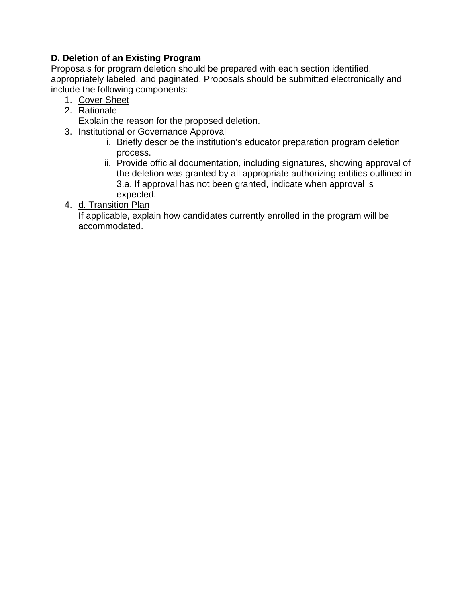### **D. Deletion of an Existing Program**

Proposals for program deletion should be prepared with each section identified, appropriately labeled, and paginated. Proposals should be submitted electronically and include the following components:

- 1. Cover Sheet
- 2. Rationale

Explain the reason for the proposed deletion.

- 3. Institutional or Governance Approval
	- i. Briefly describe the institution's educator preparation program deletion process.
	- ii. Provide official documentation, including signatures, showing approval of the deletion was granted by all appropriate authorizing entities outlined in 3.a. If approval has not been granted, indicate when approval is expected.
- 4. d. Transition Plan

If applicable, explain how candidates currently enrolled in the program will be accommodated.